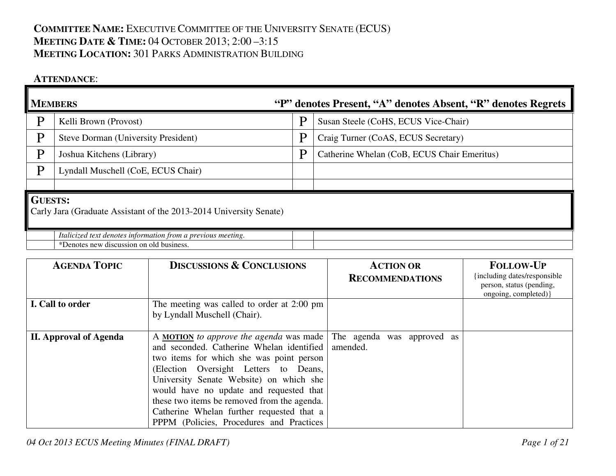## **COMMITTEE NAME:** <sup>E</sup>XECUTIVE COMMITTEE OF THE UNIVERSITY SENATE (ECUS) **MEETING DATE & <sup>T</sup>IME:** <sup>04</sup> <sup>O</sup>CTOBER 2013; 2:00 –3:15 **MEETING LOCATION:** <sup>301</sup> <sup>P</sup>ARKS ADMINISTRATION BUILDING

## **ATTENDANCE**:

| <b>MEMBERS</b>                                                                       |                                                                                                          |   | "P" denotes Present, "A" denotes Absent, "R" denotes Regrets |
|--------------------------------------------------------------------------------------|----------------------------------------------------------------------------------------------------------|---|--------------------------------------------------------------|
| D                                                                                    | Kelli Brown (Provost)                                                                                    | P | Susan Steele (CoHS, ECUS Vice-Chair)                         |
| D                                                                                    | <b>Steve Dorman (University President)</b>                                                               | P | Craig Turner (CoAS, ECUS Secretary)                          |
| p                                                                                    | Joshua Kitchens (Library)                                                                                | P | Catherine Whelan (CoB, ECUS Chair Emeritus)                  |
| D                                                                                    | Lyndall Muschell (CoE, ECUS Chair)                                                                       |   |                                                              |
|                                                                                      |                                                                                                          |   |                                                              |
| <b>GUESTS:</b><br>Carly Jara (Graduate Assistant of the 2013-2014 University Senate) |                                                                                                          |   |                                                              |
|                                                                                      | Italicized text denotes information from a previous meeting.<br>*Denotes new discussion on old business. |   |                                                              |

| <b>AGENDA TOPIC</b>           | <b>DISCUSSIONS &amp; CONCLUSIONS</b>                                                                                                                                                                                                                                                                                                                                                                             | <b>ACTION OR</b><br><b>RECOMMENDATIONS</b> | <b>FOLLOW-UP</b><br>including dates/responsible<br>person, status (pending,<br>ongoing, completed) } |
|-------------------------------|------------------------------------------------------------------------------------------------------------------------------------------------------------------------------------------------------------------------------------------------------------------------------------------------------------------------------------------------------------------------------------------------------------------|--------------------------------------------|------------------------------------------------------------------------------------------------------|
| I. Call to order              | The meeting was called to order at 2:00 pm<br>by Lyndall Muschell (Chair).                                                                                                                                                                                                                                                                                                                                       |                                            |                                                                                                      |
| <b>II. Approval of Agenda</b> | A <b>MOTION</b> to approve the agenda was made  <br>and seconded. Catherine Whelan identified<br>two items for which she was point person<br>(Election Oversight Letters to Deans,<br>University Senate Website) on which she<br>would have no update and requested that<br>these two items be removed from the agenda.<br>Catherine Whelan further requested that a<br>PPPM (Policies, Procedures and Practices | The agenda was approved as<br>amended.     |                                                                                                      |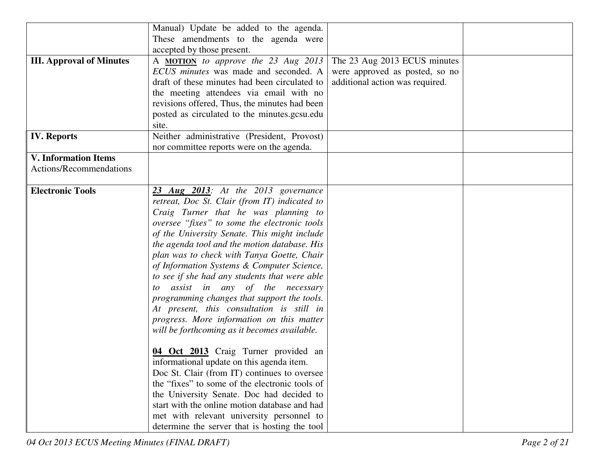|                                 | Manual) Update be added to the agenda.         |                                 |  |
|---------------------------------|------------------------------------------------|---------------------------------|--|
|                                 | These amendments to the agenda were            |                                 |  |
|                                 | accepted by those present.                     |                                 |  |
| <b>III. Approval of Minutes</b> | A <b>MOTION</b> to approve the 23 Aug 2013     | The 23 Aug 2013 ECUS minutes    |  |
|                                 | ECUS minutes was made and seconded. A          | were approved as posted, so no  |  |
|                                 | draft of these minutes had been circulated to  | additional action was required. |  |
|                                 | the meeting attendees via email with no        |                                 |  |
|                                 | revisions offered, Thus, the minutes had been  |                                 |  |
|                                 | posted as circulated to the minutes.gcsu.edu   |                                 |  |
|                                 | site.                                          |                                 |  |
| <b>IV.</b> Reports              | Neither administrative (President, Provost)    |                                 |  |
|                                 |                                                |                                 |  |
|                                 | nor committee reports were on the agenda.      |                                 |  |
| <b>V. Information Items</b>     |                                                |                                 |  |
| Actions/Recommendations         |                                                |                                 |  |
|                                 |                                                |                                 |  |
| <b>Electronic Tools</b>         | 23 Aug 2013: At the 2013 governance            |                                 |  |
|                                 | retreat, Doc St. Clair (from IT) indicated to  |                                 |  |
|                                 | Craig Turner that he was planning to           |                                 |  |
|                                 | oversee "fixes" to some the electronic tools   |                                 |  |
|                                 | of the University Senate. This might include   |                                 |  |
|                                 | the agenda tool and the motion database. His   |                                 |  |
|                                 | plan was to check with Tanya Goette, Chair     |                                 |  |
|                                 | of Information Systems & Computer Science,     |                                 |  |
|                                 | to see if she had any students that were able  |                                 |  |
|                                 | to assist in any of the necessary              |                                 |  |
|                                 | programming changes that support the tools.    |                                 |  |
|                                 | At present, this consultation is still in      |                                 |  |
|                                 | progress. More information on this matter      |                                 |  |
|                                 | will be forthcoming as it becomes available.   |                                 |  |
|                                 |                                                |                                 |  |
|                                 | 04 Oct 2013 Craig Turner provided an           |                                 |  |
|                                 | informational update on this agenda item.      |                                 |  |
|                                 | Doc St. Clair (from IT) continues to oversee   |                                 |  |
|                                 | the "fixes" to some of the electronic tools of |                                 |  |
|                                 |                                                |                                 |  |
|                                 | the University Senate. Doc had decided to      |                                 |  |
|                                 | start with the online motion database and had  |                                 |  |
|                                 | met with relevant university personnel to      |                                 |  |
|                                 | determine the server that is hosting the tool  |                                 |  |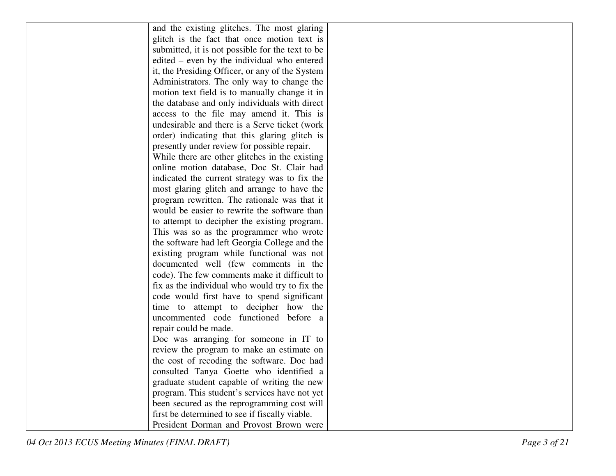| and the existing glitches. The most glaring      |  |
|--------------------------------------------------|--|
| glitch is the fact that once motion text is      |  |
| submitted, it is not possible for the text to be |  |
| edited – even by the individual who entered      |  |
| it, the Presiding Officer, or any of the System  |  |
| Administrators. The only way to change the       |  |
| motion text field is to manually change it in    |  |
| the database and only individuals with direct    |  |
| access to the file may amend it. This is         |  |
| undesirable and there is a Serve ticket (work    |  |
| order) indicating that this glaring glitch is    |  |
| presently under review for possible repair.      |  |
| While there are other glitches in the existing   |  |
| online motion database, Doc St. Clair had        |  |
| indicated the current strategy was to fix the    |  |
| most glaring glitch and arrange to have the      |  |
| program rewritten. The rationale was that it     |  |
| would be easier to rewrite the software than     |  |
| to attempt to decipher the existing program.     |  |
| This was so as the programmer who wrote          |  |
| the software had left Georgia College and the    |  |
| existing program while functional was not        |  |
| documented well (few comments in the             |  |
| code). The few comments make it difficult to     |  |
| fix as the individual who would try to fix the   |  |
| code would first have to spend significant       |  |
| time to attempt to decipher how the              |  |
| uncommented code functioned before a             |  |
| repair could be made.                            |  |
| Doc was arranging for someone in IT to           |  |
| review the program to make an estimate on        |  |
| the cost of recoding the software. Doc had       |  |
| consulted Tanya Goette who identified a          |  |
| graduate student capable of writing the new      |  |
| program. This student's services have not yet    |  |
| been secured as the reprogramming cost will      |  |
| first be determined to see if fiscally viable.   |  |
| President Dorman and Provost Brown were          |  |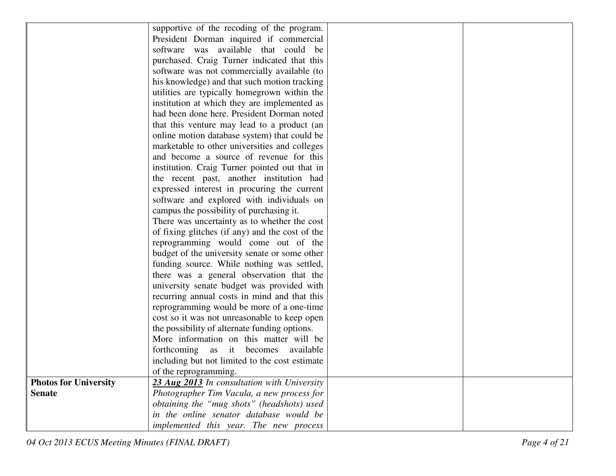|                              | supportive of the recoding of the program.      |  |
|------------------------------|-------------------------------------------------|--|
|                              | President Dorman inquired if commercial         |  |
|                              | software was available that could be            |  |
|                              | purchased. Craig Turner indicated that this     |  |
|                              | software was not commercially available (to     |  |
|                              | his knowledge) and that such motion tracking    |  |
|                              | utilities are typically homegrown within the    |  |
|                              | institution at which they are implemented as    |  |
|                              | had been done here. President Dorman noted      |  |
|                              | that this venture may lead to a product (an     |  |
|                              | online motion database system) that could be    |  |
|                              | marketable to other universities and colleges   |  |
|                              | and become a source of revenue for this         |  |
|                              | institution. Craig Turner pointed out that in   |  |
|                              | the recent past, another institution had        |  |
|                              | expressed interest in procuring the current     |  |
|                              | software and explored with individuals on       |  |
|                              | campus the possibility of purchasing it.        |  |
|                              | There was uncertainty as to whether the cost    |  |
|                              | of fixing glitches (if any) and the cost of the |  |
|                              | reprogramming would come out of the             |  |
|                              | budget of the university senate or some other   |  |
|                              | funding source. While nothing was settled,      |  |
|                              | there was a general observation that the        |  |
|                              | university senate budget was provided with      |  |
|                              | recurring annual costs in mind and that this    |  |
|                              | reprogramming would be more of a one-time       |  |
|                              | cost so it was not unreasonable to keep open    |  |
|                              | the possibility of alternate funding options.   |  |
|                              | More information on this matter will be         |  |
|                              | forthcoming as it becomes<br>available          |  |
|                              | including but not limited to the cost estimate  |  |
|                              | of the reprogramming.                           |  |
| <b>Photos for University</b> | 23 Aug 2013 In consultation with University     |  |
| <b>Senate</b>                | Photographer Tim Vacula, a new process for      |  |
|                              | obtaining the "mug shots" (headshots) used      |  |
|                              | in the online senator database would be         |  |
|                              | implemented this year. The new process          |  |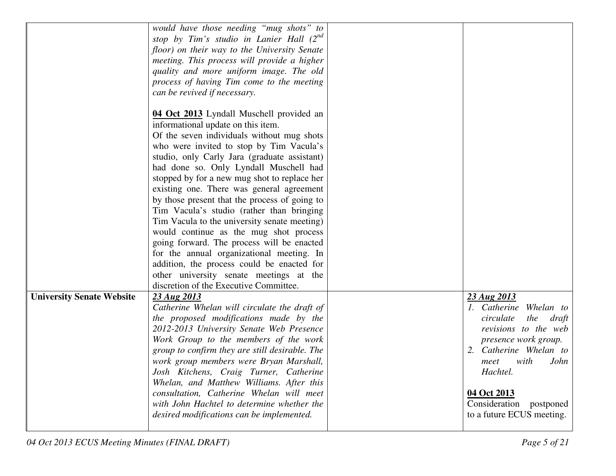|                                  | would have those needing "mug shots" to                                                |                                       |
|----------------------------------|----------------------------------------------------------------------------------------|---------------------------------------|
|                                  | stop by Tim's studio in Lanier Hall (2nd                                               |                                       |
|                                  | floor) on their way to the University Senate                                           |                                       |
|                                  | meeting. This process will provide a higher                                            |                                       |
|                                  | quality and more uniform image. The old                                                |                                       |
|                                  | process of having Tim come to the meeting                                              |                                       |
|                                  | can be revived if necessary.                                                           |                                       |
|                                  |                                                                                        |                                       |
|                                  | 04 Oct 2013 Lyndall Muschell provided an                                               |                                       |
|                                  | informational update on this item.                                                     |                                       |
|                                  | Of the seven individuals without mug shots                                             |                                       |
|                                  | who were invited to stop by Tim Vacula's                                               |                                       |
|                                  | studio, only Carly Jara (graduate assistant)                                           |                                       |
|                                  | had done so. Only Lyndall Muschell had                                                 |                                       |
|                                  | stopped by for a new mug shot to replace her                                           |                                       |
|                                  | existing one. There was general agreement                                              |                                       |
|                                  | by those present that the process of going to                                          |                                       |
|                                  | Tim Vacula's studio (rather than bringing                                              |                                       |
|                                  | Tim Vacula to the university senate meeting)                                           |                                       |
|                                  | would continue as the mug shot process                                                 |                                       |
|                                  | going forward. The process will be enacted                                             |                                       |
|                                  | for the annual organizational meeting. In                                              |                                       |
|                                  | addition, the process could be enacted for                                             |                                       |
|                                  | other university senate meetings at the                                                |                                       |
|                                  | discretion of the Executive Committee.                                                 |                                       |
| <b>University Senate Website</b> | 23 Aug 2013                                                                            | 23 Aug 2013<br>1. Catherine Whelan to |
|                                  | Catherine Whelan will circulate the draft of<br>the proposed modifications made by the | circulate<br>the<br>draft             |
|                                  | 2012-2013 University Senate Web Presence                                               | revisions to the web                  |
|                                  | Work Group to the members of the work                                                  | presence work group.                  |
|                                  | group to confirm they are still desirable. The                                         | 2. Catherine Whelan to                |
|                                  | work group members were Bryan Marshall,                                                | with<br>meet<br>John                  |
|                                  | Josh Kitchens, Craig Turner, Catherine                                                 | Hachtel.                              |
|                                  | Whelan, and Matthew Williams. After this                                               |                                       |
|                                  | consultation, Catherine Whelan will meet                                               | 04 Oct 2013                           |
|                                  | with John Hachtel to determine whether the                                             | Consideration postponed               |
|                                  | desired modifications can be implemented.                                              | to a future ECUS meeting.             |
|                                  |                                                                                        |                                       |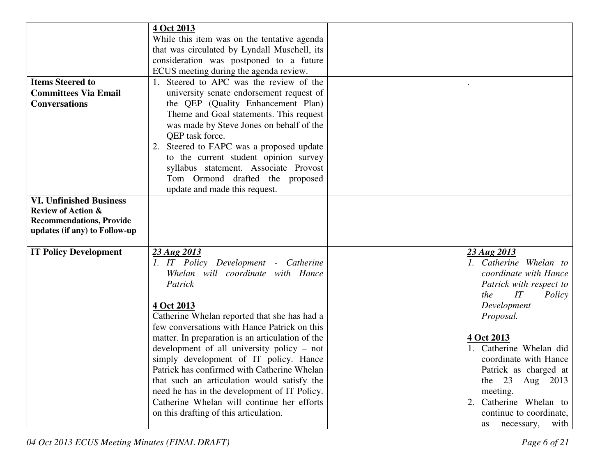|                                                                                                                                   | 4 Oct 2013                                                                                                                                                                                                                                                                                                                                                                                                                                                                                                  |                                                                                                                                                                                                                                                                                                  |
|-----------------------------------------------------------------------------------------------------------------------------------|-------------------------------------------------------------------------------------------------------------------------------------------------------------------------------------------------------------------------------------------------------------------------------------------------------------------------------------------------------------------------------------------------------------------------------------------------------------------------------------------------------------|--------------------------------------------------------------------------------------------------------------------------------------------------------------------------------------------------------------------------------------------------------------------------------------------------|
|                                                                                                                                   | While this item was on the tentative agenda                                                                                                                                                                                                                                                                                                                                                                                                                                                                 |                                                                                                                                                                                                                                                                                                  |
|                                                                                                                                   | that was circulated by Lyndall Muschell, its                                                                                                                                                                                                                                                                                                                                                                                                                                                                |                                                                                                                                                                                                                                                                                                  |
|                                                                                                                                   | consideration was postponed to a future                                                                                                                                                                                                                                                                                                                                                                                                                                                                     |                                                                                                                                                                                                                                                                                                  |
|                                                                                                                                   | ECUS meeting during the agenda review.                                                                                                                                                                                                                                                                                                                                                                                                                                                                      |                                                                                                                                                                                                                                                                                                  |
| <b>Items Steered to</b>                                                                                                           | 1. Steered to APC was the review of the                                                                                                                                                                                                                                                                                                                                                                                                                                                                     |                                                                                                                                                                                                                                                                                                  |
| <b>Committees Via Email</b>                                                                                                       |                                                                                                                                                                                                                                                                                                                                                                                                                                                                                                             |                                                                                                                                                                                                                                                                                                  |
| <b>Conversations</b>                                                                                                              | university senate endorsement request of                                                                                                                                                                                                                                                                                                                                                                                                                                                                    |                                                                                                                                                                                                                                                                                                  |
|                                                                                                                                   | the QEP (Quality Enhancement Plan)                                                                                                                                                                                                                                                                                                                                                                                                                                                                          |                                                                                                                                                                                                                                                                                                  |
|                                                                                                                                   | Theme and Goal statements. This request                                                                                                                                                                                                                                                                                                                                                                                                                                                                     |                                                                                                                                                                                                                                                                                                  |
|                                                                                                                                   | was made by Steve Jones on behalf of the                                                                                                                                                                                                                                                                                                                                                                                                                                                                    |                                                                                                                                                                                                                                                                                                  |
|                                                                                                                                   | QEP task force.                                                                                                                                                                                                                                                                                                                                                                                                                                                                                             |                                                                                                                                                                                                                                                                                                  |
|                                                                                                                                   | 2. Steered to FAPC was a proposed update                                                                                                                                                                                                                                                                                                                                                                                                                                                                    |                                                                                                                                                                                                                                                                                                  |
|                                                                                                                                   | to the current student opinion survey                                                                                                                                                                                                                                                                                                                                                                                                                                                                       |                                                                                                                                                                                                                                                                                                  |
|                                                                                                                                   | syllabus statement. Associate Provost                                                                                                                                                                                                                                                                                                                                                                                                                                                                       |                                                                                                                                                                                                                                                                                                  |
|                                                                                                                                   | Tom Ormond drafted the proposed                                                                                                                                                                                                                                                                                                                                                                                                                                                                             |                                                                                                                                                                                                                                                                                                  |
|                                                                                                                                   | update and made this request.                                                                                                                                                                                                                                                                                                                                                                                                                                                                               |                                                                                                                                                                                                                                                                                                  |
| <b>VI. Unfinished Business</b>                                                                                                    |                                                                                                                                                                                                                                                                                                                                                                                                                                                                                                             |                                                                                                                                                                                                                                                                                                  |
|                                                                                                                                   |                                                                                                                                                                                                                                                                                                                                                                                                                                                                                                             |                                                                                                                                                                                                                                                                                                  |
|                                                                                                                                   |                                                                                                                                                                                                                                                                                                                                                                                                                                                                                                             |                                                                                                                                                                                                                                                                                                  |
|                                                                                                                                   |                                                                                                                                                                                                                                                                                                                                                                                                                                                                                                             |                                                                                                                                                                                                                                                                                                  |
|                                                                                                                                   |                                                                                                                                                                                                                                                                                                                                                                                                                                                                                                             |                                                                                                                                                                                                                                                                                                  |
|                                                                                                                                   |                                                                                                                                                                                                                                                                                                                                                                                                                                                                                                             |                                                                                                                                                                                                                                                                                                  |
|                                                                                                                                   |                                                                                                                                                                                                                                                                                                                                                                                                                                                                                                             |                                                                                                                                                                                                                                                                                                  |
|                                                                                                                                   |                                                                                                                                                                                                                                                                                                                                                                                                                                                                                                             |                                                                                                                                                                                                                                                                                                  |
|                                                                                                                                   |                                                                                                                                                                                                                                                                                                                                                                                                                                                                                                             |                                                                                                                                                                                                                                                                                                  |
|                                                                                                                                   |                                                                                                                                                                                                                                                                                                                                                                                                                                                                                                             |                                                                                                                                                                                                                                                                                                  |
|                                                                                                                                   |                                                                                                                                                                                                                                                                                                                                                                                                                                                                                                             |                                                                                                                                                                                                                                                                                                  |
|                                                                                                                                   |                                                                                                                                                                                                                                                                                                                                                                                                                                                                                                             |                                                                                                                                                                                                                                                                                                  |
|                                                                                                                                   |                                                                                                                                                                                                                                                                                                                                                                                                                                                                                                             |                                                                                                                                                                                                                                                                                                  |
|                                                                                                                                   |                                                                                                                                                                                                                                                                                                                                                                                                                                                                                                             |                                                                                                                                                                                                                                                                                                  |
|                                                                                                                                   |                                                                                                                                                                                                                                                                                                                                                                                                                                                                                                             |                                                                                                                                                                                                                                                                                                  |
|                                                                                                                                   |                                                                                                                                                                                                                                                                                                                                                                                                                                                                                                             |                                                                                                                                                                                                                                                                                                  |
|                                                                                                                                   |                                                                                                                                                                                                                                                                                                                                                                                                                                                                                                             |                                                                                                                                                                                                                                                                                                  |
|                                                                                                                                   |                                                                                                                                                                                                                                                                                                                                                                                                                                                                                                             |                                                                                                                                                                                                                                                                                                  |
|                                                                                                                                   | Catherine Whelan will continue her efforts                                                                                                                                                                                                                                                                                                                                                                                                                                                                  |                                                                                                                                                                                                                                                                                                  |
|                                                                                                                                   |                                                                                                                                                                                                                                                                                                                                                                                                                                                                                                             |                                                                                                                                                                                                                                                                                                  |
|                                                                                                                                   | on this drafting of this articulation.                                                                                                                                                                                                                                                                                                                                                                                                                                                                      | continue to coordinate,                                                                                                                                                                                                                                                                          |
| <b>Review of Action &amp;</b><br><b>Recommendations, Provide</b><br>updates (if any) to Follow-up<br><b>IT Policy Development</b> | 23 Aug 2013<br>1. IT Policy Development - Catherine<br>Whelan will coordinate with Hance<br>Patrick<br>4 Oct 2013<br>Catherine Whelan reported that she has had a<br>few conversations with Hance Patrick on this<br>matter. In preparation is an articulation of the<br>development of all university policy – not<br>simply development of IT policy. Hance<br>Patrick has confirmed with Catherine Whelan<br>that such an articulation would satisfy the<br>need he has in the development of IT Policy. | 23 Aug 2013<br>1. Catherine Whelan to<br>coordinate with Hance<br>Patrick with respect to<br>the<br>IT<br>Policy<br>Development<br>Proposal.<br>4 Oct 2013<br>1. Catherine Whelan did<br>coordinate with Hance<br>Patrick as charged at<br>the 23 Aug 2013<br>meeting.<br>2. Catherine Whelan to |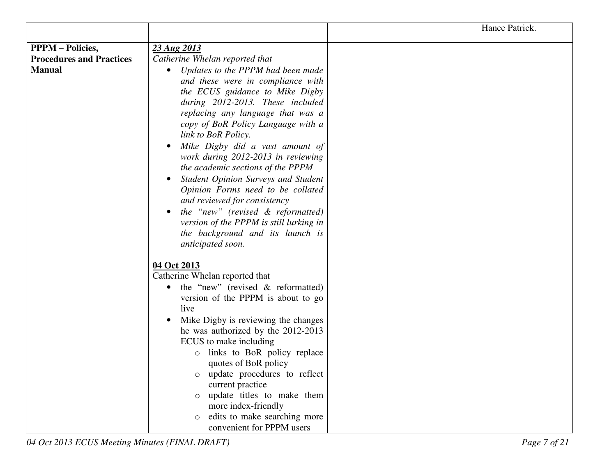|                                 |                                                   | Hance Patrick. |
|---------------------------------|---------------------------------------------------|----------------|
| <b>PPPM</b> – Policies,         | 23 Aug 2013                                       |                |
| <b>Procedures and Practices</b> |                                                   |                |
|                                 | Catherine Whelan reported that                    |                |
| <b>Manual</b>                   | Updates to the PPPM had been made<br>$\bullet$    |                |
|                                 | and these were in compliance with                 |                |
|                                 | the ECUS guidance to Mike Digby                   |                |
|                                 | during 2012-2013. These included                  |                |
|                                 | replacing any language that was a                 |                |
|                                 | copy of BoR Policy Language with a                |                |
|                                 | link to BoR Policy.                               |                |
|                                 | Mike Digby did a vast amount of<br>$\bullet$      |                |
|                                 | work during 2012-2013 in reviewing                |                |
|                                 | the academic sections of the PPPM                 |                |
|                                 | Student Opinion Surveys and Student<br>$\bullet$  |                |
|                                 | Opinion Forms need to be collated                 |                |
|                                 | and reviewed for consistency                      |                |
|                                 | the "new" (revised & reformatted)<br>$\bullet$    |                |
|                                 | version of the PPPM is still lurking in           |                |
|                                 | the background and its launch is                  |                |
|                                 | anticipated soon.                                 |                |
|                                 |                                                   |                |
|                                 | 04 Oct 2013                                       |                |
|                                 | Catherine Whelan reported that                    |                |
|                                 | the "new" (revised $\&$ reformatted)<br>$\bullet$ |                |
|                                 | version of the PPPM is about to go                |                |
|                                 | live                                              |                |
|                                 | Mike Digby is reviewing the changes               |                |
|                                 | he was authorized by the 2012-2013                |                |
|                                 | ECUS to make including                            |                |
|                                 | links to BoR policy replace<br>$\circ$            |                |
|                                 | quotes of BoR policy                              |                |
|                                 | update procedures to reflect<br>$\circ$           |                |
|                                 | current practice                                  |                |
|                                 | update titles to make them                        |                |
|                                 | more index-friendly                               |                |
|                                 | edits to make searching more<br>$\circ$           |                |
|                                 | convenient for PPPM users                         |                |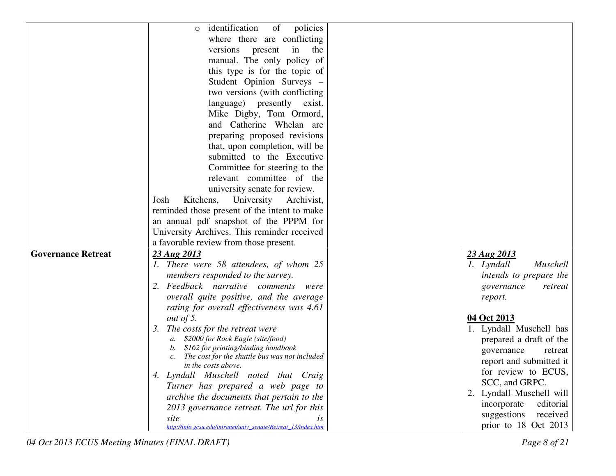|                           | identification<br>of<br>policies<br>$\circ$                               |                          |
|---------------------------|---------------------------------------------------------------------------|--------------------------|
|                           | where there are conflicting                                               |                          |
|                           | versions present<br>in<br>the                                             |                          |
|                           | manual. The only policy of                                                |                          |
|                           | this type is for the topic of                                             |                          |
|                           | Student Opinion Surveys -                                                 |                          |
|                           | two versions (with conflicting)                                           |                          |
|                           | language) presently exist.                                                |                          |
|                           | Mike Digby, Tom Ormord,                                                   |                          |
|                           | and Catherine Whelan are                                                  |                          |
|                           | preparing proposed revisions                                              |                          |
|                           | that, upon completion, will be                                            |                          |
|                           | submitted to the Executive                                                |                          |
|                           | Committee for steering to the                                             |                          |
|                           | relevant committee of the                                                 |                          |
|                           | university senate for review.                                             |                          |
|                           | Kitchens,<br>University<br>Archivist,<br>Josh                             |                          |
|                           | reminded those present of the intent to make                              |                          |
|                           | an annual pdf snapshot of the PPPM for                                    |                          |
|                           | University Archives. This reminder received                               |                          |
|                           | a favorable review from those present.                                    |                          |
| <b>Governance Retreat</b> | 23 Aug 2013                                                               | 23 Aug 2013              |
|                           | 1. There were 58 attendees, of whom 25                                    | Muschell<br>1. Lyndall   |
|                           | members responded to the survey.                                          | intends to prepare the   |
|                           | 2. Feedback narrative comments<br>were                                    | governance<br>retreat    |
|                           | overall quite positive, and the average                                   | report.                  |
|                           | rating for overall effectiveness was 4.61                                 |                          |
|                           | out of 5.                                                                 | 04 Oct 2013              |
|                           | 3. The costs for the retreat were                                         | 1. Lyndall Muschell has  |
|                           | a. \$2000 for Rock Eagle (site/food)                                      | prepared a draft of the  |
|                           | \$162 for printing/binding handbook                                       | governance<br>retreat    |
|                           | The cost for the shuttle bus was not included                             | report and submitted it  |
|                           | in the costs above.                                                       | for review to ECUS,      |
|                           | 4. Lyndall Muschell noted that Craig<br>Turner has prepared a web page to | SCC, and GRPC.           |
|                           | archive the documents that pertain to the                                 | 2. Lyndall Muschell will |
|                           | 2013 governance retreat. The url for this                                 | editorial<br>incorporate |
|                           | site<br>is                                                                | suggestions<br>received  |
|                           | http://info.gcsu.edu/intranet/univ_senate/Retreat_13/index.htm            | prior to 18 Oct 2013     |

04 Oct 2013 ECUS Meeting Minutes (FINAL DRAFT)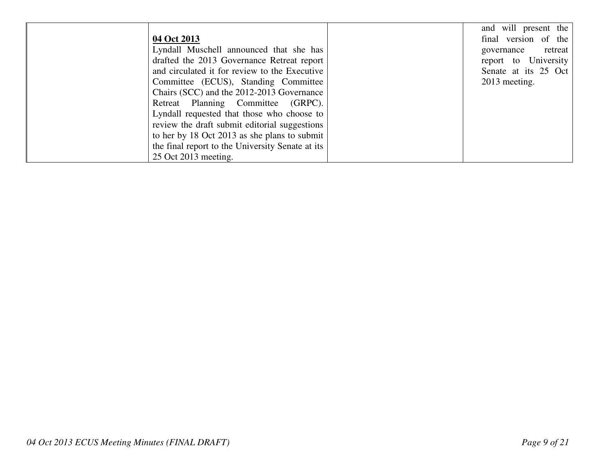|                                                  | and will present the  |
|--------------------------------------------------|-----------------------|
| 04 Oct 2013                                      | final version of the  |
| Lyndall Muschell announced that she has          | retreat<br>governance |
| drafted the 2013 Governance Retreat report       | report to University  |
| and circulated it for review to the Executive    | Senate at its 25 Oct  |
| Committee (ECUS), Standing Committee             | 2013 meeting.         |
| Chairs (SCC) and the 2012-2013 Governance        |                       |
| Retreat Planning Committee (GRPC).               |                       |
| Lyndall requested that those who choose to       |                       |
| review the draft submit editorial suggestions    |                       |
| to her by 18 Oct 2013 as she plans to submit     |                       |
| the final report to the University Senate at its |                       |
| 25 Oct 2013 meeting.                             |                       |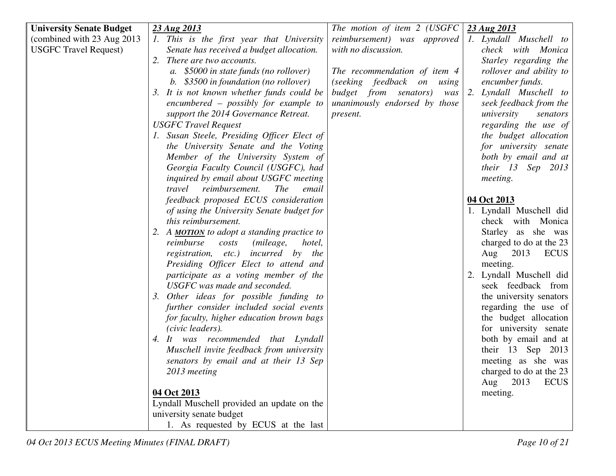| <b>University Senate Budget</b> | 23 Aug 2013                                                            | The motion of item $2$ (USGFC) | 23 Aug 2013                |
|---------------------------------|------------------------------------------------------------------------|--------------------------------|----------------------------|
| (combined with 23 Aug 2013)     | 1. This is the first year that University                              | reimbursement) was approved    | 1. Lyndall Muschell to     |
| <b>USGFC Travel Request)</b>    |                                                                        | with no discussion.            | check with Monica          |
|                                 | Senate has received a budget allocation.<br>2. There are two accounts. |                                |                            |
|                                 |                                                                        |                                | Starley regarding the      |
|                                 | a. \$5000 in state funds (no rollover)                                 | The recommendation of item 4   | rollover and ability to    |
|                                 | b. \$3500 in foundation (no rollover)                                  | (seeking feedback on using     | encumber funds.            |
|                                 | It is not known whether funds could be<br>3.                           | budget from senators)<br>was   | Lyndall Muschell to<br>2.  |
|                                 | $encumbered - possibly for example to$                                 | unanimously endorsed by those  | seek feedback from the     |
|                                 | support the 2014 Governance Retreat.                                   | present.                       | university<br>senators     |
|                                 | <b>USGFC Travel Request</b>                                            |                                | regarding the use of       |
|                                 | 1. Susan Steele, Presiding Officer Elect of                            |                                | the budget allocation      |
|                                 | the University Senate and the Voting                                   |                                | for university senate      |
|                                 | Member of the University System of                                     |                                | both by email and at       |
|                                 | Georgia Faculty Council (USGFC), had                                   |                                | their 13 Sep 2013          |
|                                 | inquired by email about USGFC meeting                                  |                                | meeting.                   |
|                                 | reimbursement.<br><i>The</i><br>travel<br>email                        |                                |                            |
|                                 | feedback proposed ECUS consideration                                   |                                | 04 Oct 2013                |
|                                 | of using the University Senate budget for                              |                                | 1. Lyndall Muschell did    |
|                                 | this reimbursement.                                                    |                                | check with Monica          |
|                                 | A <b>MOTION</b> to adopt a standing practice to<br>2.                  |                                | Starley as she was         |
|                                 | reimburse<br>(mileage,<br>costs<br>hotel,                              |                                | charged to do at the 23    |
|                                 | registration, etc.) incurred by the                                    |                                | 2013<br><b>ECUS</b><br>Aug |
|                                 | Presiding Officer Elect to attend and                                  |                                | meeting.                   |
|                                 | participate as a voting member of the                                  |                                | Lyndall Muschell did       |
|                                 | USGFC was made and seconded.                                           |                                | seek feedback from         |
|                                 | Other ideas for possible funding to<br>3.                              |                                | the university senators    |
|                                 | further consider included social events                                |                                | regarding the use of       |
|                                 | for faculty, higher education brown bags                               |                                | the budget allocation      |
|                                 | (civic leaders).                                                       |                                |                            |
|                                 |                                                                        |                                | for university senate      |
|                                 | 4. It was recommended that Lyndall                                     |                                | both by email and at       |
|                                 | Muschell invite feedback from university                               |                                | their 13 Sep 2013          |
|                                 | senators by email and at their 13 Sep                                  |                                | meeting as she was         |
|                                 | 2013 meeting                                                           |                                | charged to do at the 23    |
|                                 |                                                                        |                                | <b>ECUS</b><br>2013<br>Aug |
|                                 | 04 Oct 2013                                                            |                                | meeting.                   |
|                                 | Lyndall Muschell provided an update on the                             |                                |                            |
|                                 | university senate budget                                               |                                |                            |
|                                 | 1. As requested by ECUS at the last                                    |                                |                            |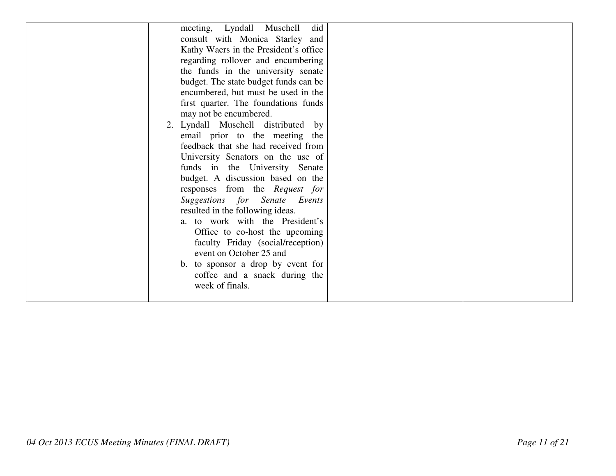| meeting, Lyndall Muschell<br>did      |
|---------------------------------------|
| consult with Monica Starley and       |
| Kathy Waers in the President's office |
| regarding rollover and encumbering    |
| the funds in the university senate    |
| budget. The state budget funds can be |
| encumbered, but must be used in the   |
| first quarter. The foundations funds  |
| may not be encumbered.                |
| 2. Lyndall Muschell distributed by    |
| email prior to the meeting the        |
| feedback that she had received from   |
| University Senators on the use of     |
| funds in the University Senate        |
| budget. A discussion based on the     |
| responses from the Request for        |
| Suggestions for Senate Events         |
| resulted in the following ideas.      |
| a. to work with the President's       |
| Office to co-host the upcoming        |
| faculty Friday (social/reception)     |
| event on October 25 and               |
| to sponsor a drop by event for<br>b.  |
| coffee and a snack during the         |
| week of finals.                       |
|                                       |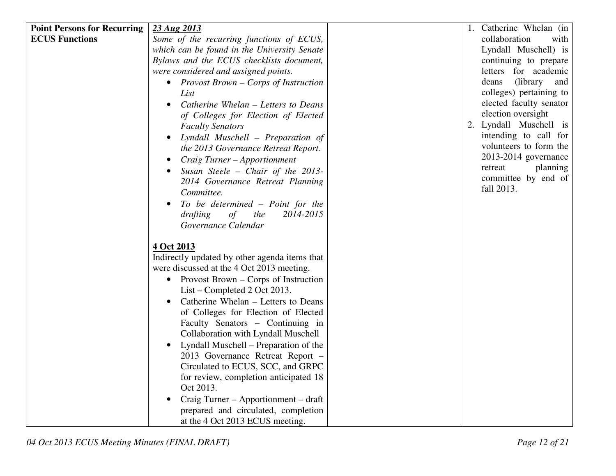| <b>Point Persons for Recurring</b> | 23 Aug 2013                                       | 1. Catherine Whelan (in   |
|------------------------------------|---------------------------------------------------|---------------------------|
| <b>ECUS Functions</b>              | Some of the recurring functions of ECUS,          | collaboration<br>with     |
|                                    | which can be found in the University Senate       | Lyndall Muschell) is      |
|                                    | Bylaws and the ECUS checklists document,          | continuing to prepare     |
|                                    | were considered and assigned points.              | letters for academic      |
|                                    | • Provost Brown – Corps of Instruction            | (library)<br>deans<br>and |
|                                    | List                                              | colleges) pertaining to   |
|                                    | Catherine Whelan - Letters to Deans<br>$\bullet$  | elected faculty senator   |
|                                    | of Colleges for Election of Elected               | election oversight        |
|                                    | <b>Faculty Senators</b>                           | 2. Lyndall Muschell is    |
|                                    | Lyndall Muschell - Preparation of<br>$\bullet$    | intending to call for     |
|                                    | the 2013 Governance Retreat Report.               | volunteers to form the    |
|                                    | Craig Turner - Apportionment<br>$\bullet$         | 2013-2014 governance      |
|                                    | Susan Steele - Chair of the $2013$ -<br>$\bullet$ | retreat<br>planning       |
|                                    | 2014 Governance Retreat Planning                  | committee by end of       |
|                                    | Committee.                                        | fall 2013.                |
|                                    | To be determined - Point for the                  |                           |
|                                    | of<br>the<br>2014-2015<br>drafting                |                           |
|                                    | Governance Calendar                               |                           |
|                                    | 4 Oct 2013                                        |                           |
|                                    | Indirectly updated by other agenda items that     |                           |
|                                    | were discussed at the 4 Oct 2013 meeting.         |                           |
|                                    | • Provost Brown $-$ Corps of Instruction          |                           |
|                                    | $List$ – Completed 2 Oct 2013.                    |                           |
|                                    | Catherine Whelan – Letters to Deans               |                           |
|                                    | of Colleges for Election of Elected               |                           |
|                                    | Faculty Senators – Continuing in                  |                           |
|                                    | Collaboration with Lyndall Muschell               |                           |
|                                    | Lyndall Muschell – Preparation of the             |                           |
|                                    | 2013 Governance Retreat Report -                  |                           |
|                                    | Circulated to ECUS, SCC, and GRPC                 |                           |
|                                    | for review, completion anticipated 18             |                           |
|                                    | Oct 2013.                                         |                           |
|                                    | Craig Turner – Apportionment – draft              |                           |
|                                    | prepared and circulated, completion               |                           |
|                                    | at the 4 Oct 2013 ECUS meeting.                   |                           |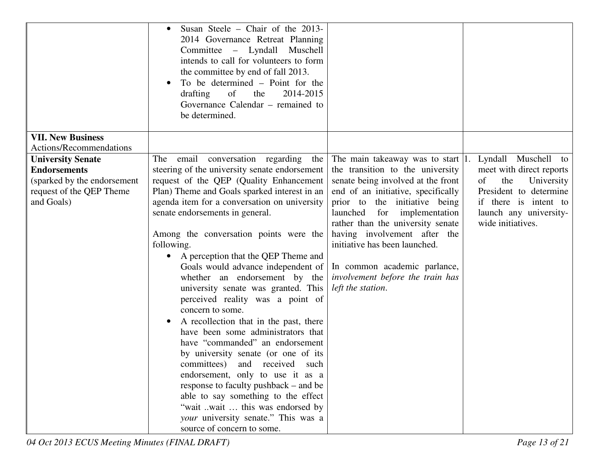|                             | Susan Steele – Chair of the 2013-<br>$\bullet$<br>2014 Governance Retreat Planning<br>Committee - Lyndall Muschell<br>intends to call for volunteers to form<br>the committee by end of fall 2013.<br>To be determined – Point for the<br>of<br>2014-2015<br>drafting<br>the<br>Governance Calendar – remained to<br>be determined.                                                                                                                                                                                                                                                                                                                                                                       |                                                                                                                                                                                             |                          |
|-----------------------------|-----------------------------------------------------------------------------------------------------------------------------------------------------------------------------------------------------------------------------------------------------------------------------------------------------------------------------------------------------------------------------------------------------------------------------------------------------------------------------------------------------------------------------------------------------------------------------------------------------------------------------------------------------------------------------------------------------------|---------------------------------------------------------------------------------------------------------------------------------------------------------------------------------------------|--------------------------|
| <b>VII. New Business</b>    |                                                                                                                                                                                                                                                                                                                                                                                                                                                                                                                                                                                                                                                                                                           |                                                                                                                                                                                             |                          |
| Actions/Recommendations     |                                                                                                                                                                                                                                                                                                                                                                                                                                                                                                                                                                                                                                                                                                           |                                                                                                                                                                                             |                          |
| <b>University Senate</b>    | conversation regarding<br>The email<br>the                                                                                                                                                                                                                                                                                                                                                                                                                                                                                                                                                                                                                                                                | The main takeaway was to start $ 1 $ .                                                                                                                                                      | Lyndall Muschell to      |
| <b>Endorsements</b>         | steering of the university senate endorsement                                                                                                                                                                                                                                                                                                                                                                                                                                                                                                                                                                                                                                                             | the transition to the university                                                                                                                                                            | meet with direct reports |
| (sparked by the endorsement | request of the QEP (Quality Enhancement                                                                                                                                                                                                                                                                                                                                                                                                                                                                                                                                                                                                                                                                   | senate being involved at the front                                                                                                                                                          | the<br>University<br>of  |
| request of the QEP Theme    | Plan) Theme and Goals sparked interest in an                                                                                                                                                                                                                                                                                                                                                                                                                                                                                                                                                                                                                                                              | end of an initiative, specifically                                                                                                                                                          | President to determine   |
| and Goals)                  | agenda item for a conversation on university                                                                                                                                                                                                                                                                                                                                                                                                                                                                                                                                                                                                                                                              | prior to the initiative being                                                                                                                                                               | if there is intent to    |
|                             | senate endorsements in general.                                                                                                                                                                                                                                                                                                                                                                                                                                                                                                                                                                                                                                                                           | for implementation<br>launched                                                                                                                                                              | launch any university-   |
|                             | Among the conversation points were the<br>following.<br>A perception that the QEP Theme and<br>Goals would advance independent of<br>whether an endorsement by the<br>university senate was granted. This<br>perceived reality was a point of<br>concern to some.<br>A recollection that in the past, there<br>$\bullet$<br>have been some administrators that<br>have "commanded" an endorsement<br>by university senate (or one of its<br>committees)<br>and received such<br>endorsement, only to use it as a<br>response to faculty pushback – and be<br>able to say something to the effect<br>"wait wait  this was endorsed by<br>your university senate." This was a<br>source of concern to some. | rather than the university senate<br>having involvement after the<br>initiative has been launched.<br>In common academic parlance,<br>involvement before the train has<br>left the station. | wide initiatives.        |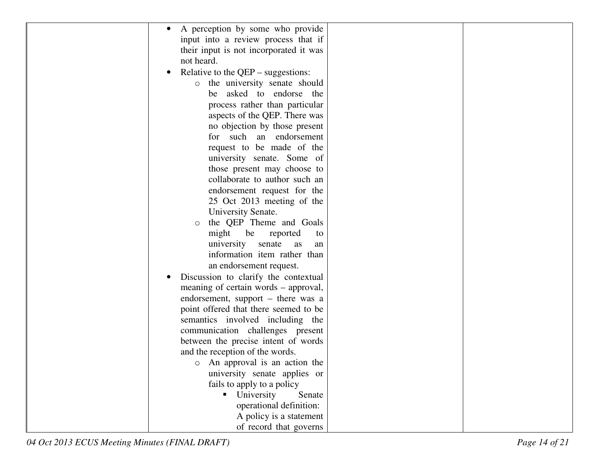| A perception by some who provide<br>$\bullet$     |  |
|---------------------------------------------------|--|
| input into a review process that if               |  |
| their input is not incorporated it was            |  |
| not heard.                                        |  |
| Relative to the $QEP$ – suggestions:<br>$\bullet$ |  |
| the university senate should<br>$\circ$           |  |
| be asked to endorse the                           |  |
| process rather than particular                    |  |
| aspects of the QEP. There was                     |  |
| no objection by those present                     |  |
| for such an endorsement                           |  |
| request to be made of the                         |  |
| university senate. Some of                        |  |
| those present may choose to                       |  |
| collaborate to author such an                     |  |
| endorsement request for the                       |  |
| 25 Oct 2013 meeting of the                        |  |
| University Senate.                                |  |
| the QEP Theme and Goals<br>$\circ$                |  |
| might<br>be<br>reported<br>to                     |  |
| university<br>senate<br>as<br>an                  |  |
| information item rather than                      |  |
| an endorsement request.                           |  |
| Discussion to clarify the contextual              |  |
| meaning of certain words – approval,              |  |
| endorsement, support – there was a                |  |
| point offered that there seemed to be             |  |
| semantics involved including the                  |  |
| communication challenges present                  |  |
| between the precise intent of words               |  |
| and the reception of the words.                   |  |
| o An approval is an action the                    |  |
| university senate applies or                      |  |
| fails to apply to a policy                        |  |
| University<br>Senate                              |  |
| operational definition:                           |  |
| A policy is a statement                           |  |
| of record that governs                            |  |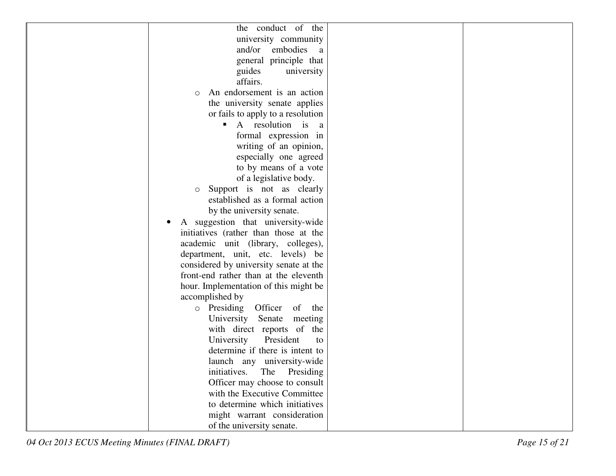| the conduct of the                     |  |
|----------------------------------------|--|
| university community                   |  |
| and/or<br>embodies<br>a                |  |
| general principle that                 |  |
| guides<br>university                   |  |
| affairs.                               |  |
| An endorsement is an action<br>$\circ$ |  |
| the university senate applies          |  |
| or fails to apply to a resolution      |  |
| A resolution is<br>ш<br><sub>a</sub>   |  |
| formal expression in                   |  |
| writing of an opinion,                 |  |
| especially one agreed                  |  |
| to by means of a vote                  |  |
| of a legislative body.                 |  |
| Support is not as clearly<br>$\circ$   |  |
| established as a formal action         |  |
| by the university senate.              |  |
| A suggestion that university-wide      |  |
| initiatives (rather than those at the  |  |
| academic unit (library, colleges),     |  |
| department, unit, etc. levels) be      |  |
| considered by university senate at the |  |
| front-end rather than at the eleventh  |  |
| hour. Implementation of this might be  |  |
| accomplished by                        |  |
| o Presiding Officer<br>of the          |  |
| University Senate meeting              |  |
| with direct reports of the             |  |
| President<br>University<br>to          |  |
| determine if there is intent to        |  |
| launch any university-wide             |  |
| initiatives. The<br>Presiding          |  |
| Officer may choose to consult          |  |
| with the Executive Committee           |  |
| to determine which initiatives         |  |
| might warrant consideration            |  |
| of the university senate.              |  |
|                                        |  |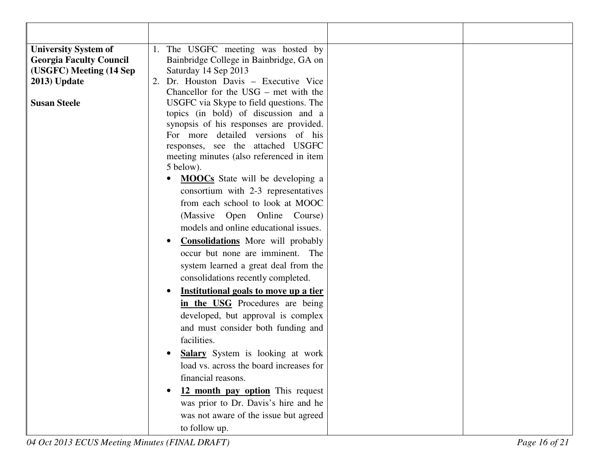| <b>University System of</b>    | 1. The USGFC meeting was hosted by                                           |
|--------------------------------|------------------------------------------------------------------------------|
| <b>Georgia Faculty Council</b> | Bainbridge College in Bainbridge, GA on                                      |
| (USGFC) Meeting (14 Sep        | Saturday 14 Sep 2013                                                         |
| $2013)$ Update                 | 2. Dr. Houston Davis - Executive Vice                                        |
|                                | Chancellor for the $USG$ – met with the                                      |
| <b>Susan Steele</b>            | USGFC via Skype to field questions. The                                      |
|                                | topics (in bold) of discussion and a                                         |
|                                | synopsis of his responses are provided.                                      |
|                                | For more detailed versions of his                                            |
|                                | responses, see the attached USGFC                                            |
|                                | meeting minutes (also referenced in item<br>5 below).                        |
|                                | <b>MOOCs</b> State will be developing a                                      |
|                                | consortium with 2-3 representatives                                          |
|                                | from each school to look at MOOC                                             |
|                                | (Massive Open Online Course)                                                 |
|                                | models and online educational issues.                                        |
|                                |                                                                              |
|                                | <b>Consolidations</b> More will probably<br>occur but none are imminent. The |
|                                |                                                                              |
|                                | system learned a great deal from the                                         |
|                                | consolidations recently completed.                                           |
|                                | Institutional goals to move up a tier                                        |
|                                | in the USG Procedures are being                                              |
|                                | developed, but approval is complex                                           |
|                                | and must consider both funding and                                           |
|                                | facilities.                                                                  |
|                                | <b>Salary</b> System is looking at work                                      |
|                                | load vs. across the board increases for                                      |
|                                | financial reasons.                                                           |
|                                | 12 month pay option This request                                             |
|                                | was prior to Dr. Davis's hire and he                                         |
|                                | was not aware of the issue but agreed                                        |
|                                | to follow up.                                                                |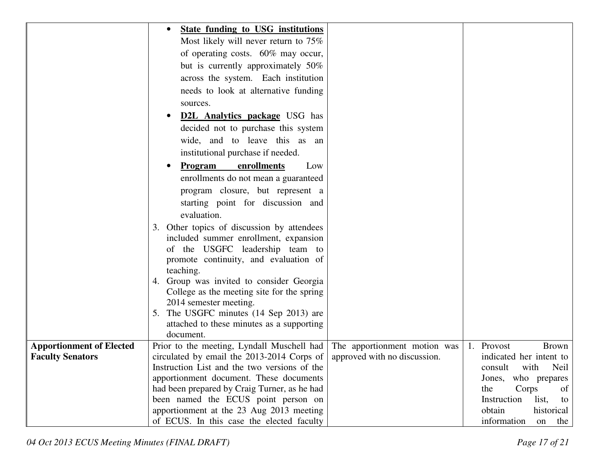|                                 | <b>State funding to USG institutions</b>                                            |                              |                                     |
|---------------------------------|-------------------------------------------------------------------------------------|------------------------------|-------------------------------------|
|                                 | Most likely will never return to 75%                                                |                              |                                     |
|                                 | of operating costs. 60% may occur,                                                  |                              |                                     |
|                                 | but is currently approximately 50%                                                  |                              |                                     |
|                                 | across the system. Each institution                                                 |                              |                                     |
|                                 | needs to look at alternative funding                                                |                              |                                     |
|                                 | sources.                                                                            |                              |                                     |
|                                 | <b>D2L Analytics package USG</b> has                                                |                              |                                     |
|                                 | decided not to purchase this system                                                 |                              |                                     |
|                                 | wide, and to leave this as an                                                       |                              |                                     |
|                                 | institutional purchase if needed.                                                   |                              |                                     |
|                                 | <b>Program</b><br>enrollments<br>Low                                                |                              |                                     |
|                                 | enrollments do not mean a guaranteed                                                |                              |                                     |
|                                 | program closure, but represent a                                                    |                              |                                     |
|                                 | starting point for discussion and                                                   |                              |                                     |
|                                 | evaluation.                                                                         |                              |                                     |
|                                 | 3. Other topics of discussion by attendees                                          |                              |                                     |
|                                 | included summer enrollment, expansion                                               |                              |                                     |
|                                 | of the USGFC leadership team to                                                     |                              |                                     |
|                                 | promote continuity, and evaluation of                                               |                              |                                     |
|                                 | teaching.                                                                           |                              |                                     |
|                                 | 4. Group was invited to consider Georgia                                            |                              |                                     |
|                                 | College as the meeting site for the spring                                          |                              |                                     |
|                                 | 2014 semester meeting.                                                              |                              |                                     |
|                                 | 5. The USGFC minutes (14 Sep 2013) are<br>attached to these minutes as a supporting |                              |                                     |
|                                 | document.                                                                           |                              |                                     |
| <b>Apportionment of Elected</b> | Prior to the meeting, Lyndall Muschell had                                          | The apportionment motion was | 1. Provost<br><b>Brown</b>          |
| <b>Faculty Senators</b>         | circulated by email the 2013-2014 Corps of                                          | approved with no discussion. | indicated her intent to             |
|                                 | Instruction List and the two versions of the                                        |                              | consult<br>with<br>Neil             |
|                                 | apportionment document. These documents                                             |                              | Jones, who prepares                 |
|                                 | had been prepared by Craig Turner, as he had                                        |                              | the<br>Corps<br>of                  |
|                                 | been named the ECUS point person on                                                 |                              | Instruction<br>list,<br>to          |
|                                 | apportionment at the 23 Aug 2013 meeting                                            |                              | obtain<br>historical                |
|                                 | of ECUS. In this case the elected faculty                                           |                              | information<br>the<br><sub>on</sub> |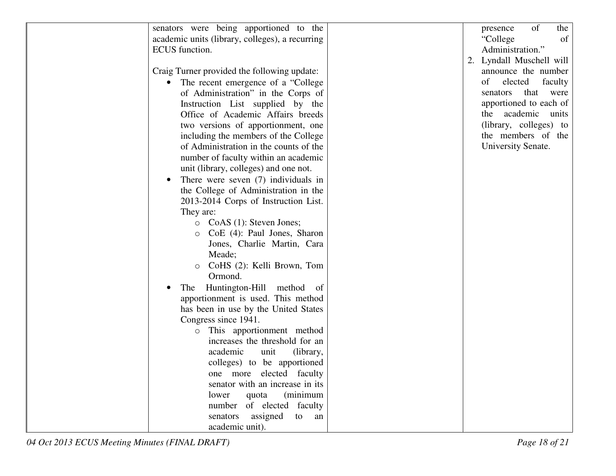| senators were being apportioned to the          | of<br>the<br>presence    |
|-------------------------------------------------|--------------------------|
| academic units (library, colleges), a recurring | "College"<br>of          |
| <b>ECUS</b> function.                           | Administration."         |
|                                                 | 2. Lyndall Muschell will |
| Craig Turner provided the following update:     | announce the number      |
| The recent emergence of a "College"             | of<br>elected<br>faculty |
| of Administration" in the Corps of              | that were<br>senators    |
| Instruction List supplied by the                | apportioned to each of   |
| Office of Academic Affairs breeds               | the academic units       |
| two versions of apportionment, one              | (library, colleges) to   |
| including the members of the College            | the members of the       |
| of Administration in the counts of the          | University Senate.       |
| number of faculty within an academic            |                          |
| unit (library, colleges) and one not.           |                          |
| There were seven $(7)$ individuals in           |                          |
| the College of Administration in the            |                          |
| 2013-2014 Corps of Instruction List.            |                          |
| They are:                                       |                          |
| $\circ$ CoAS (1): Steven Jones;                 |                          |
| CoE (4): Paul Jones, Sharon<br>$\circ$          |                          |
| Jones, Charlie Martin, Cara                     |                          |
| Meade;                                          |                          |
| CoHS (2): Kelli Brown, Tom<br>$\circ$           |                          |
| Ormond.                                         |                          |
| Huntington-Hill method of<br>The                |                          |
| apportionment is used. This method              |                          |
| has been in use by the United States            |                          |
| Congress since 1941.                            |                          |
| This apportionment method<br>$\circ$            |                          |
| increases the threshold for an                  |                          |
| academic<br>unit<br>(library,                   |                          |
| colleges) to be apportioned                     |                          |
| one more elected faculty                        |                          |
| senator with an increase in its                 |                          |
| quota<br>(minimum<br>lower                      |                          |
| number of elected faculty                       |                          |
| senators assigned<br>to an                      |                          |
| academic unit).                                 |                          |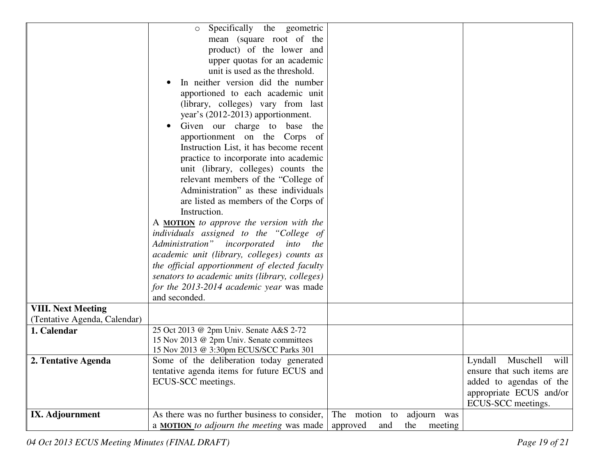|                              | Specifically the geometric<br>$\circ$                                                  |                                   |                            |
|------------------------------|----------------------------------------------------------------------------------------|-----------------------------------|----------------------------|
|                              | mean (square root of the                                                               |                                   |                            |
|                              | product) of the lower and                                                              |                                   |                            |
|                              | upper quotas for an academic                                                           |                                   |                            |
|                              | unit is used as the threshold.                                                         |                                   |                            |
|                              | In neither version did the number                                                      |                                   |                            |
|                              | apportioned to each academic unit                                                      |                                   |                            |
|                              | (library, colleges) vary from last                                                     |                                   |                            |
|                              | year's (2012-2013) apportionment.                                                      |                                   |                            |
|                              | Given our charge to base the                                                           |                                   |                            |
|                              | apportionment on the Corps of                                                          |                                   |                            |
|                              | Instruction List, it has become recent                                                 |                                   |                            |
|                              | practice to incorporate into academic                                                  |                                   |                            |
|                              | unit (library, colleges) counts the                                                    |                                   |                            |
|                              | relevant members of the "College of                                                    |                                   |                            |
|                              | Administration" as these individuals                                                   |                                   |                            |
|                              | are listed as members of the Corps of                                                  |                                   |                            |
|                              | Instruction.                                                                           |                                   |                            |
|                              | A <b>MOTION</b> to approve the version with the                                        |                                   |                            |
|                              | individuals assigned to the "College of                                                |                                   |                            |
|                              | Administration" incorporated into the                                                  |                                   |                            |
|                              | academic unit (library, colleges) counts as                                            |                                   |                            |
|                              | the official apportionment of elected faculty                                          |                                   |                            |
|                              | senators to academic units (library, colleges)                                         |                                   |                            |
|                              | for the 2013-2014 academic year was made                                               |                                   |                            |
|                              | and seconded.                                                                          |                                   |                            |
| <b>VIII. Next Meeting</b>    |                                                                                        |                                   |                            |
| (Tentative Agenda, Calendar) |                                                                                        |                                   |                            |
| 1. Calendar                  | 25 Oct 2013 @ 2pm Univ. Senate A&S 2-72                                                |                                   |                            |
|                              | 15 Nov 2013 @ 2pm Univ. Senate committees                                              |                                   |                            |
|                              | 15 Nov 2013 @ 3:30pm ECUS/SCC Parks 301                                                |                                   | Lyndall Muschell<br>will   |
| 2. Tentative Agenda          | Some of the deliberation today generated<br>tentative agenda items for future ECUS and |                                   | ensure that such items are |
|                              | ECUS-SCC meetings.                                                                     |                                   | added to agendas of the    |
|                              |                                                                                        |                                   | appropriate ECUS and/or    |
|                              |                                                                                        |                                   | ECUS-SCC meetings.         |
| IX. Adjournment              | As there was no further business to consider,                                          | The motion to<br>adjourn was      |                            |
|                              | a <b>MOTION</b> to adjourn the meeting was made                                        | approved<br>the<br>meeting<br>and |                            |
|                              |                                                                                        |                                   |                            |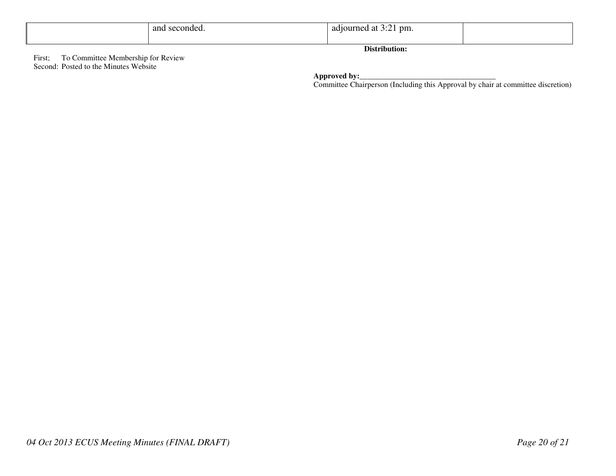|        |                                    | and seconded. | adjourned at 3:21 pm. |  |  |  |  |
|--------|------------------------------------|---------------|-----------------------|--|--|--|--|
|        |                                    |               |                       |  |  |  |  |
|        | Distribution:                      |               |                       |  |  |  |  |
| First; | To Committee Membership for Review |               |                       |  |  |  |  |

**Approved by:**<br> **Committee Chairperson (Including this Approval by chair at committee discretion)** 

Second: Posted to the Minutes Website